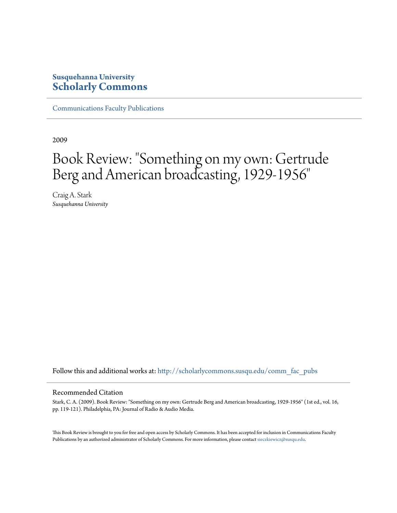## **Susquehanna University [Scholarly Commons](http://scholarlycommons.susqu.edu?utm_source=scholarlycommons.susqu.edu%2Fcomm_fac_pubs%2F2&utm_medium=PDF&utm_campaign=PDFCoverPages)**

[Communications Faculty Publications](http://scholarlycommons.susqu.edu/comm_fac_pubs?utm_source=scholarlycommons.susqu.edu%2Fcomm_fac_pubs%2F2&utm_medium=PDF&utm_campaign=PDFCoverPages)

2009

## Book Review: "Something on my own: Gertrude Berg and American broadcasting, 1929-1956"

Craig A. Stark *Susquehanna University*

Follow this and additional works at: [http://scholarlycommons.susqu.edu/comm\\_fac\\_pubs](http://scholarlycommons.susqu.edu/comm_fac_pubs?utm_source=scholarlycommons.susqu.edu%2Fcomm_fac_pubs%2F2&utm_medium=PDF&utm_campaign=PDFCoverPages)

## Recommended Citation

Stark, C. A. (2009). Book Review: "Something on my own: Gertrude Berg and American broadcasting, 1929-1956" (1st ed., vol. 16, pp. 119-121). Philadelphia, PA: Journal of Radio & Audio Media.

This Book Review is brought to you for free and open access by Scholarly Commons. It has been accepted for inclusion in Communications Faculty Publications by an authorized administrator of Scholarly Commons. For more information, please contact [sieczkiewicz@susqu.edu](mailto:sieczkiewicz@susqu.edu).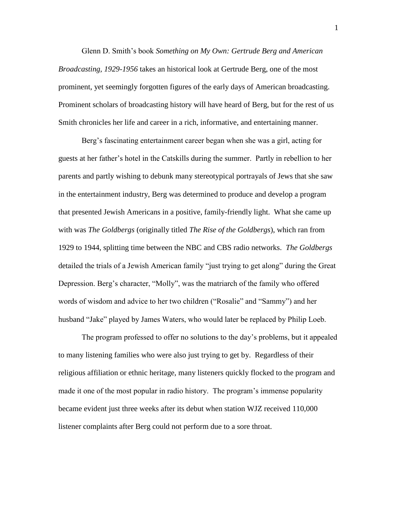Glenn D. Smith's book *Something on My Own: Gertrude Berg and American Broadcasting, 1929-1956* takes an historical look at Gertrude Berg, one of the most prominent, yet seemingly forgotten figures of the early days of American broadcasting. Prominent scholars of broadcasting history will have heard of Berg, but for the rest of us Smith chronicles her life and career in a rich, informative, and entertaining manner.

Berg's fascinating entertainment career began when she was a girl, acting for guests at her father's hotel in the Catskills during the summer. Partly in rebellion to her parents and partly wishing to debunk many stereotypical portrayals of Jews that she saw in the entertainment industry, Berg was determined to produce and develop a program that presented Jewish Americans in a positive, family-friendly light. What she came up with was *The Goldbergs* (originally titled *The Rise of the Goldbergs*), which ran from 1929 to 1944, splitting time between the NBC and CBS radio networks. *The Goldbergs* detailed the trials of a Jewish American family "just trying to get along" during the Great Depression. Berg's character, "Molly", was the matriarch of the family who offered words of wisdom and advice to her two children ("Rosalie" and "Sammy") and her husband "Jake" played by James Waters, who would later be replaced by Philip Loeb.

The program professed to offer no solutions to the day's problems, but it appealed to many listening families who were also just trying to get by. Regardless of their religious affiliation or ethnic heritage, many listeners quickly flocked to the program and made it one of the most popular in radio history. The program's immense popularity became evident just three weeks after its debut when station WJZ received 110,000 listener complaints after Berg could not perform due to a sore throat.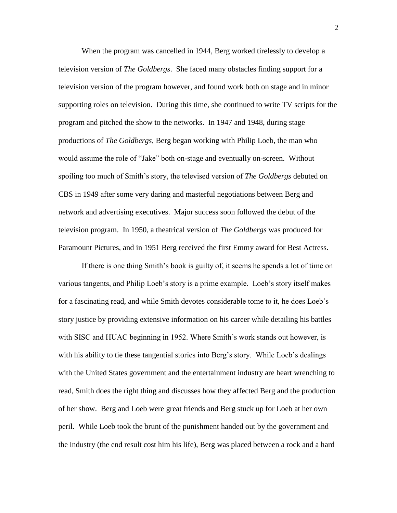When the program was cancelled in 1944, Berg worked tirelessly to develop a television version of *The Goldbergs*. She faced many obstacles finding support for a television version of the program however, and found work both on stage and in minor supporting roles on television. During this time, she continued to write TV scripts for the program and pitched the show to the networks. In 1947 and 1948, during stage productions of *The Goldbergs*, Berg began working with Philip Loeb, the man who would assume the role of "Jake" both on-stage and eventually on-screen. Without spoiling too much of Smith's story, the televised version of *The Goldbergs* debuted on CBS in 1949 after some very daring and masterful negotiations between Berg and network and advertising executives. Major success soon followed the debut of the television program. In 1950, a theatrical version of *The Goldbergs* was produced for Paramount Pictures, and in 1951 Berg received the first Emmy award for Best Actress.

If there is one thing Smith's book is guilty of, it seems he spends a lot of time on various tangents, and Philip Loeb's story is a prime example. Loeb's story itself makes for a fascinating read, and while Smith devotes considerable tome to it, he does Loeb's story justice by providing extensive information on his career while detailing his battles with SISC and HUAC beginning in 1952. Where Smith's work stands out however, is with his ability to tie these tangential stories into Berg's story. While Loeb's dealings with the United States government and the entertainment industry are heart wrenching to read, Smith does the right thing and discusses how they affected Berg and the production of her show. Berg and Loeb were great friends and Berg stuck up for Loeb at her own peril. While Loeb took the brunt of the punishment handed out by the government and the industry (the end result cost him his life), Berg was placed between a rock and a hard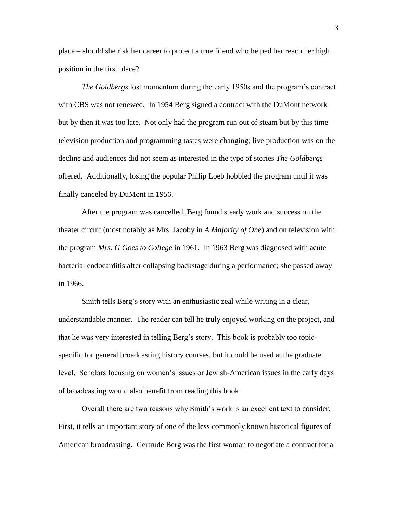place – should she risk her career to protect a true friend who helped her reach her high position in the first place?

*The Goldbergs* lost momentum during the early 1950s and the program's contract with CBS was not renewed. In 1954 Berg signed a contract with the DuMont network but by then it was too late. Not only had the program run out of steam but by this time television production and programming tastes were changing; live production was on the decline and audiences did not seem as interested in the type of stories *The Goldbergs* offered. Additionally, losing the popular Philip Loeb hobbled the program until it was finally canceled by DuMont in 1956.

After the program was cancelled, Berg found steady work and success on the theater circuit (most notably as Mrs. Jacoby in *A Majority of One*) and on television with the program *Mrs. G Goes to College* in 1961. In 1963 Berg was diagnosed with acute bacterial endocarditis after collapsing backstage during a performance; she passed away in 1966.

Smith tells Berg's story with an enthusiastic zeal while writing in a clear, understandable manner. The reader can tell he truly enjoyed working on the project, and that he was very interested in telling Berg's story. This book is probably too topicspecific for general broadcasting history courses, but it could be used at the graduate level. Scholars focusing on women's issues or Jewish-American issues in the early days of broadcasting would also benefit from reading this book.

Overall there are two reasons why Smith's work is an excellent text to consider. First, it tells an important story of one of the less commonly known historical figures of American broadcasting. Gertrude Berg was the first woman to negotiate a contract for a